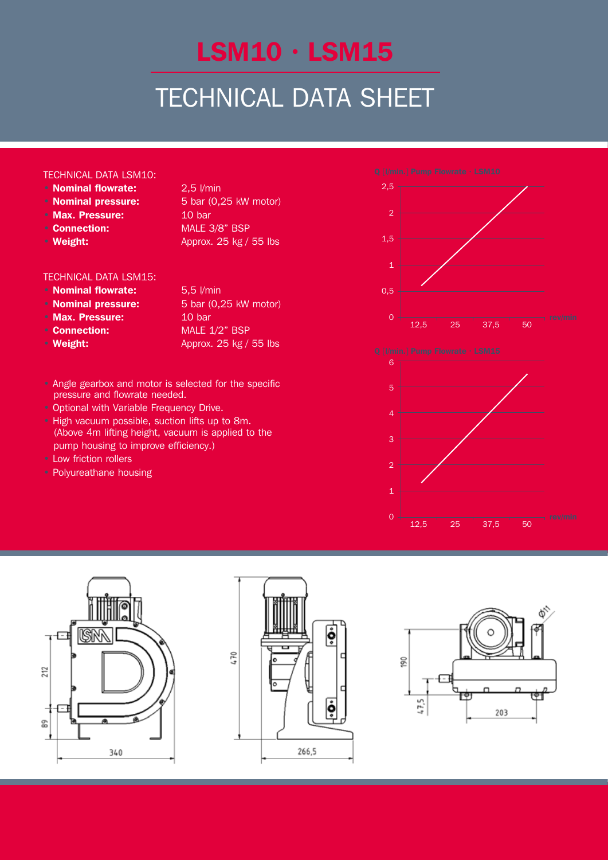# LSM10 · LSM15

## TECHNICAL DATA SHEET

#### Technical Data LSM10:

- **Nominal flowrate:** 2,5 l/min
- 
- Max. Pressure: 10 bar
- 
- 

• **Nominal pressure:** 5 bar (0,25 kW motor) • Connection: MALE 3/8" BSP • Weight: Approx. 25 kg / 55 lbs

#### Technical Data LSM15:

- **Nominal flowrate:** 5,5 l/min
- 
- Max. Pressure: 10 bar
- 
- 
- **Nominal pressure:** 5 bar (0,25 kW motor) • Connection: MALE 1/2" BSP • Weight: Approx. 25 kg / 55 lbs
- Angle gearbox and motor is selected for the specific **pressure and flowrate needed.**
- Optional with Variable Frequency Drive.
- High vacuum possible, suction lifts up to 8m. (Above 4m lifting height, vacuum is applied to the **• Internal pump housing to improve efficiency.)** (ADOVE 411) Illulig Height, Vacuum is app Above Am lifting boight voorum is (ADOVE 411) illulig rieight, vacuum is applied to
- Low friction rollers  $\sim$  LOW INCREDITIONERS  $\frac{1}{1}$  out friction rollors **LOW INCOUNTOIRERS** 
	- Polyureathane housing